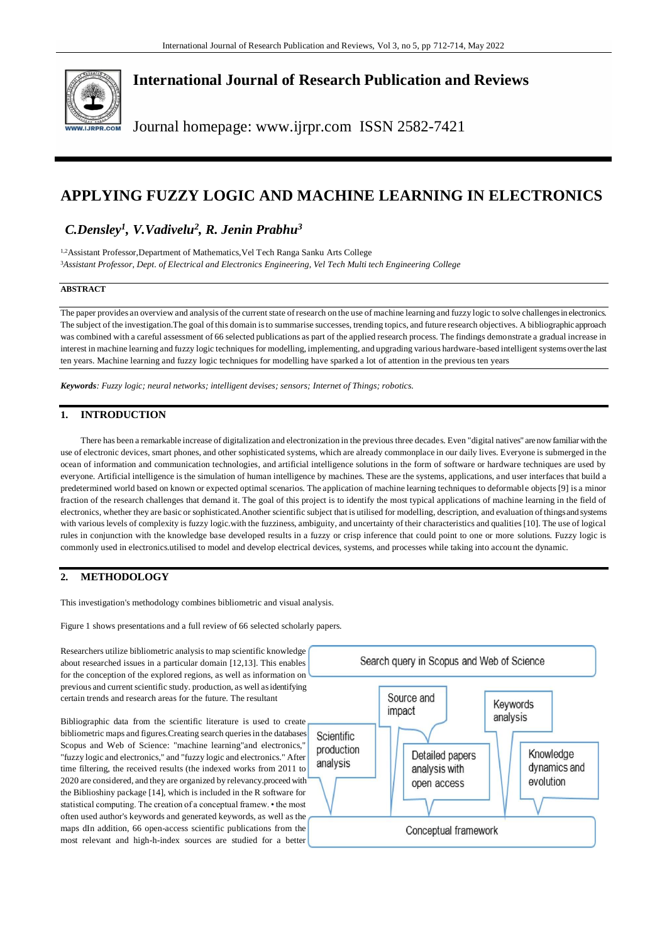

# **International Journal of Research Publication and Reviews**

Journal homepage: www.ijrpr.com ISSN 2582-7421

# **APPLYING FUZZY LOGIC AND MACHINE LEARNING IN ELECTRONICS**

# *C.Densley<sup>1</sup> , V.Vadivelu<sup>2</sup> , R. Jenin Prabhu<sup>3</sup>*

1,2Assistant Professor,Department of Mathematics,Vel Tech Ranga Sanku Arts College <sup>3</sup>*Assistant Professor, Dept. of Electrical and Electronics Engineering, Vel Tech Multi tech Engineering College*

# **ABSTRACT**

The paper provides an overview and analysis of the current state of research on the use of machine learning and fuzzy logic to solve challenges in electronics. The subject of the investigation.The goal of this domain is to summarise successes, trending topics, and future research objectives. A bibliographic approach was combined with a careful assessment of 66 selected publications as part of the applied research process. The findings demonstrate a gradual increase in interest in machine learning and fuzzy logic techniques for modelling, implementing, and upgrading various hardware-based intelligent systems over the last ten years. Machine learning and fuzzy logic techniques for modelling have sparked a lot of attention in the previous ten years

*Keywords: Fuzzy logic; neural networks; intelligent devises; sensors; Internet of Things; robotics.*

# **1. INTRODUCTION**

There has been a remarkable increase of digitalization and electronization in the previous three decades. Even "digital natives" are now familiar with the use of electronic devices, smart phones, and other sophisticated systems, which are already commonplace in our daily lives. Everyone is submerged in the ocean of information and communication technologies, and artificial intelligence solutions in the form of software or hardware techniques are used by everyone. Artificial intelligence is the simulation of human intelligence by machines. These are the systems, applications, and user interfaces that build a predetermined world based on known or expected optimal scenarios. The application of machine learning techniques to deformable objects [9] is a minor fraction of the research challenges that demand it. The goal of this project is to identify the most typical applications of machine learning in the field of electronics, whether they are basic or sophisticated.Another scientific subject that is utilised for modelling, description, and evaluation of things and systems with various levels of complexity is fuzzy logic.with the fuzziness, ambiguity, and uncertainty of their characteristics and qualities [10]. The use of logical rules in conjunction with the knowledge base developed results in a fuzzy or crisp inference that could point to one or more solutions. Fuzzy logic is commonly used in electronics.utilised to model and develop electrical devices, systems, and processes while taking into accou nt the dynamic.

# **2. METHODOLOGY**

This investigation's methodology combines bibliometric and visual analysis.

Figure 1 shows presentations and a full review of 66 selected scholarly papers.

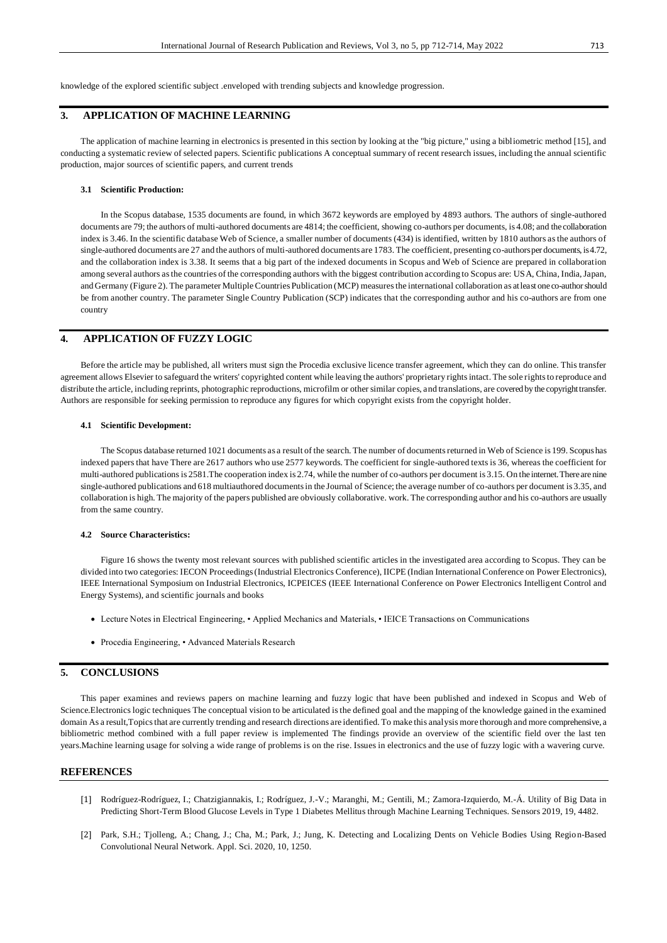knowledge of the explored scientific subject .enveloped with trending subjects and knowledge progression.

### **3. APPLICATION OF MACHINE LEARNING**

The application of machine learning in electronics is presented in this section by looking at the "big picture," using a bibliometric method [15], and conducting a systematic review of selected papers. Scientific publications A conceptual summary of recent research issues, including the annual scientific production, major sources of scientific papers, and current trends

#### **3.1 Scientific Production:**

In the Scopus database, 1535 documents are found, in which 3672 keywords are employed by 4893 authors. The authors of single-authored documents are 79; the authors of multi-authored documents are 4814; the coefficient, showing co-authors per documents, is 4.08; and the collaboration index is 3.46. In the scientific database Web of Science, a smaller number of documents (434) is identified, written by 1810 authors as the authors of single-authored documents are 27 and the authors of multi-authored documents are 1783. The coefficient, presenting co-authors per documents, is 4.72, and the collaboration index is 3.38. It seems that a big part of the indexed documents in Scopus and Web of Science are prepared in collaboration among several authors as the countries of the corresponding authors with the biggest contribution according to Scopus are: USA, China, India, Japan, and Germany (Figure 2). The parameter Multiple Countries Publication (MCP) measures the international collaboration as at least one co-author should be from another country. The parameter Single Country Publication (SCP) indicates that the corresponding author and his co-authors are from one country

# **4. APPLICATION OF FUZZY LOGIC**

Before the article may be published, all writers must sign the Procedia exclusive licence transfer agreement, which they can do online. This transfer agreement allows Elsevier to safeguard the writers' copyrighted content while leaving the authors' proprietary rights intact. The sole rights to reproduce and distribute the article, including reprints, photographic reproductions, microfilm or other similar copies, and translations, are covered by the copyright transfer. Authors are responsible for seeking permission to reproduce any figures for which copyright exists from the copyright holder.

## **4.1 Scientific Development:**

The Scopus database returned 1021 documents as a result of the search. The number of documents returned in Web of Science is 199. Scopus has indexed papers that have There are 2617 authors who use 2577 keywords. The coefficient for single-authored texts is 36, whereas the coefficient for multi-authored publications is 2581.The cooperation index is 2.74, while the number of co-authors per document is 3.15. On the internet. Thereare nine single-authored publications and 618 multiauthored documents in the Journal of Science; the average number of co-authors per document is 3.35, and collaboration is high. The majority of the papers published are obviously collaborative. work. The corresponding author and his co-authors are usually from the same country.

### **4.2 Source Characteristics:**

Figure 16 shows the twenty most relevant sources with published scientific articles in the investigated area according to Scopus. They can be divided into two categories: IECON Proceedings (Industrial Electronics Conference), IICPE (Indian International Conference on Power Electronics), IEEE International Symposium on Industrial Electronics, ICPEICES (IEEE International Conference on Power Electronics Intelligent Control and Energy Systems), and scientific journals and books

- Lecture Notes in Electrical Engineering, Applied Mechanics and Materials, IEICE Transactions on Communications
- Procedia Engineering, Advanced Materials Research

### **5. CONCLUSIONS**

This paper examines and reviews papers on machine learning and fuzzy logic that have been published and indexed in Scopus and Web of Science.Electronics logic techniques The conceptual vision to be articulated is the defined goal and the mapping of the knowledge gained in the examined domain As a result,Topics that are currently trending and research directions are identified. To make this analysis more thorough and more comprehensive, a bibliometric method combined with a full paper review is implemented The findings provide an overview of the scientific field over the last ten years.Machine learning usage for solving a wide range of problems is on the rise. Issues in electronics and the use of fuzzy logic with a wavering curve.

#### **REFERENCES**

- [1] Rodríguez-Rodríguez, I.; Chatzigiannakis, I.; Rodríguez, J.-V.; Maranghi, M.; Gentili, M.; Zamora-Izquierdo, M.-Á. Utility of Big Data in Predicting Short-Term Blood Glucose Levels in Type 1 Diabetes Mellitus through Machine Learning Techniques. Sensors 2019, 19, 4482.
- [2] Park, S.H.; Tjolleng, A.; Chang, J.; Cha, M.; Park, J.; Jung, K. Detecting and Localizing Dents on Vehicle Bodies Using Region-Based Convolutional Neural Network. Appl. Sci. 2020, 10, 1250.